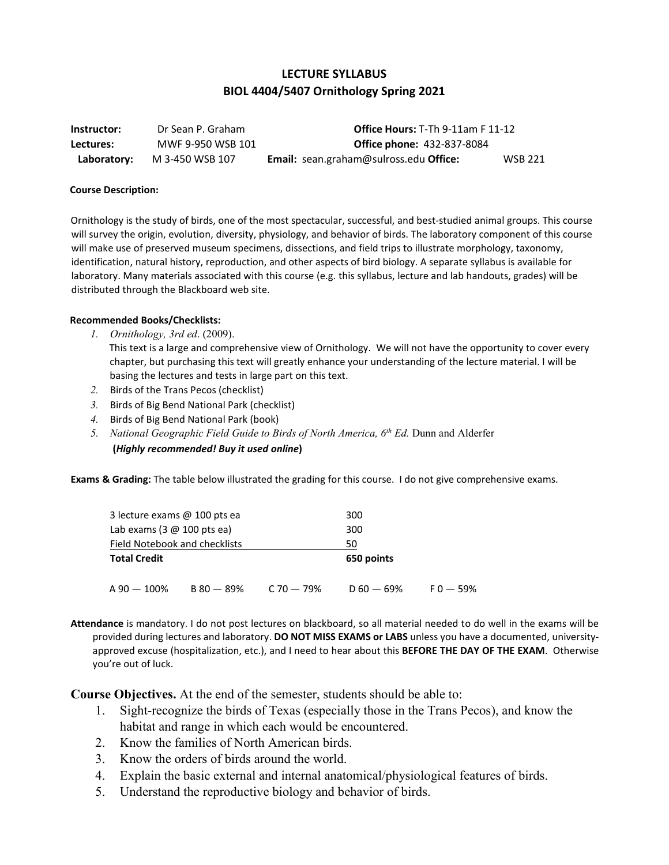# **LECTURE SYLLABUS BIOL 4404/5407 Ornithology Spring 2021**

**Instructor:** Dr Sean P. Graham **Office Hours:** T-Th 9-11am F 11-12 **Lectures:** MWF 9-950 WSB 101 **Office phone:** 432-837-8084 **Laboratory:** M 3-450 WSB 107 **Email:** sean.graham@sulross.edu **Office:** WSB 221

### **Course Description:**

Ornithology is the study of birds, one of the most spectacular, successful, and best-studied animal groups. This course will survey the origin, evolution, diversity, physiology, and behavior of birds. The laboratory component of this course will make use of preserved museum specimens, dissections, and field trips to illustrate morphology, taxonomy, identification, natural history, reproduction, and other aspects of bird biology. A separate syllabus is available for laboratory. Many materials associated with this course (e.g. this syllabus, lecture and lab handouts, grades) will be distributed through the Blackboard web site.

### **Recommended Books/Checklists:**

- *1. Ornithology, 3rd ed*. (2009). This text is a large and comprehensive view of Ornithology. We will not have the opportunity to cover every chapter, but purchasing this text will greatly enhance your understanding of the lecture material. I will be basing the lectures and tests in large part on this text.
- *2.* Birds of the Trans Pecos (checklist)
- *3.* Birds of Big Bend National Park (checklist)
- *4.* Birds of Big Bend National Park (book)
- 5. *National Geographic Field Guide to Birds of North America, 6<sup>th</sup> Ed. Dunn and Alderfer*

### **(***Highly recommended! Buy it used online***)**

**Exams & Grading:** The table below illustrated the grading for this course. I do not give comprehensive exams.

| 3 lecture exams @ 100 pts ea        |              | 300            |              |              |
|-------------------------------------|--------------|----------------|--------------|--------------|
| Lab exams $(3 \n\omega 100 pts ea)$ |              |                | 300          |              |
| Field Notebook and checklists       |              |                | 50           |              |
| <b>Total Credit</b>                 |              |                | 650 points   |              |
|                                     |              |                |              |              |
| $A 90 - 100\%$                      | $B 80 - 89%$ | $C$ 70 $-$ 79% | $D 60 - 69%$ | $F_0 - 59\%$ |

**Attendance** is mandatory. I do not post lectures on blackboard, so all material needed to do well in the exams will be provided during lectures and laboratory. **DO NOT MISS EXAMS or LABS** unless you have a documented, universityapproved excuse (hospitalization, etc.), and I need to hear about this **BEFORE THE DAY OF THE EXAM**. Otherwise you're out of luck.

**Course Objectives.** At the end of the semester, students should be able to:

- 1. Sight-recognize the birds of Texas (especially those in the Trans Pecos), and know the habitat and range in which each would be encountered.
- 2. Know the families of North American birds.
- 3. Know the orders of birds around the world.
- 4. Explain the basic external and internal anatomical/physiological features of birds.
- 5. Understand the reproductive biology and behavior of birds.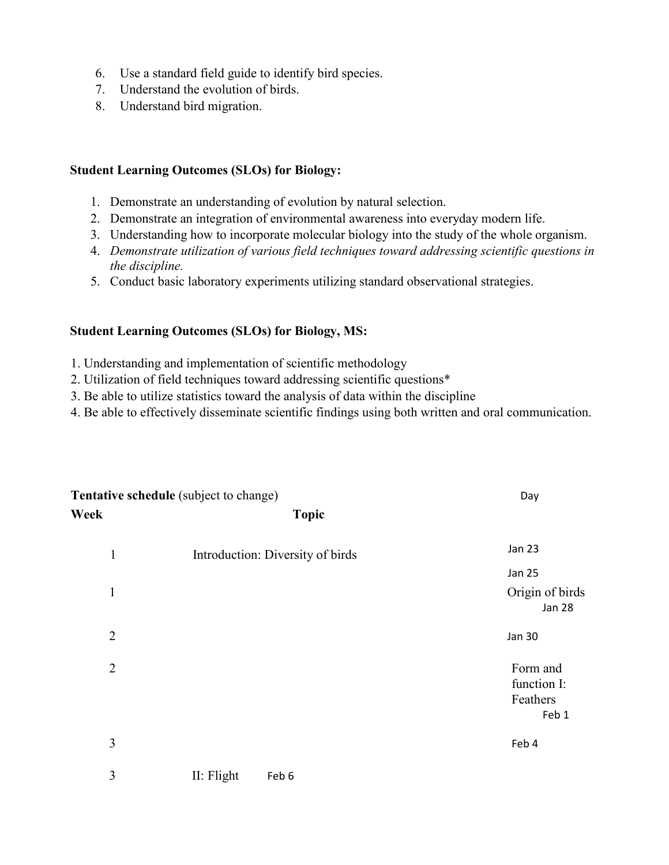- 6. Use a standard field guide to identify bird species.
- 7. Understand the evolution of birds.
- 8. Understand bird migration.

## **Student Learning Outcomes (SLOs) for Biology:**

- 1. Demonstrate an understanding of evolution by natural selection.
- 2. Demonstrate an integration of environmental awareness into everyday modern life.
- 3. Understanding how to incorporate molecular biology into the study of the whole organism.
- 4. *Demonstrate utilization of various field techniques toward addressing scientific questions in the discipline.*
- 5. Conduct basic laboratory experiments utilizing standard observational strategies.

# **Student Learning Outcomes (SLOs) for Biology, MS:**

- 1. Understanding and implementation of scientific methodology
- 2. Utilization of field techniques toward addressing scientific questions\*
- 3. Be able to utilize statistics toward the analysis of data within the discipline
- 4. Be able to effectively disseminate scientific findings using both written and oral communication.

| Tentative schedule (subject to change) |                                  | Day                                          |
|----------------------------------------|----------------------------------|----------------------------------------------|
| Week                                   | <b>Topic</b>                     |                                              |
| $\mathbf{1}$                           | Introduction: Diversity of birds | <b>Jan 23</b>                                |
|                                        |                                  | <b>Jan 25</b>                                |
| $\mathbf{1}$                           |                                  | Origin of birds<br>Jan 28                    |
| $\overline{2}$                         |                                  | <b>Jan 30</b>                                |
| $\overline{2}$                         |                                  | Form and<br>function I:<br>Feathers<br>Feb 1 |
| 3                                      |                                  | Feb 4                                        |
| 3                                      | II: Flight<br>Feb 6              |                                              |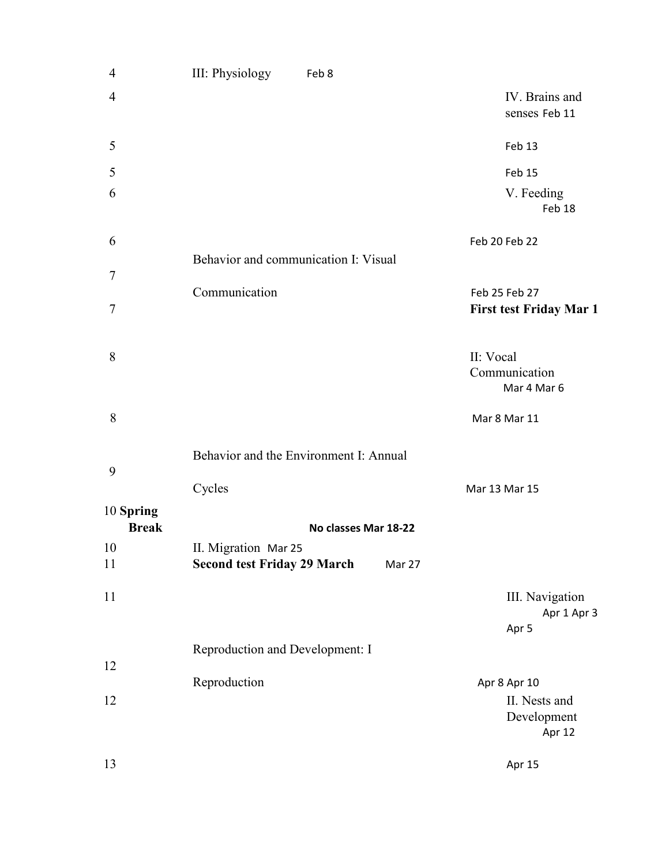| $\overline{4}$            | III: Physiology<br>Feb 8                     |                                           |
|---------------------------|----------------------------------------------|-------------------------------------------|
| $\overline{4}$            |                                              | IV. Brains and<br>senses Feb 11           |
| 5                         |                                              | Feb 13                                    |
| 5                         |                                              | Feb 15                                    |
| 6                         |                                              | V. Feeding<br>Feb 18                      |
| 6                         |                                              | Feb 20 Feb 22                             |
| $\boldsymbol{7}$          | Behavior and communication I: Visual         |                                           |
|                           | Communication                                | Feb 25 Feb 27                             |
| $\boldsymbol{7}$          |                                              | <b>First test Friday Mar 1</b>            |
| 8                         |                                              | II: Vocal<br>Communication<br>Mar 4 Mar 6 |
| 8                         |                                              | Mar 8 Mar 11                              |
|                           | Behavior and the Environment I: Annual       |                                           |
| 9                         | Cycles                                       | Mar 13 Mar 15                             |
| 10 Spring<br><b>Break</b> | No classes Mar 18-22                         |                                           |
| 10                        | II. Migration Mar 25                         |                                           |
| 11                        | <b>Second test Friday 29 March</b><br>Mar 27 |                                           |
| 11                        |                                              | III. Navigation<br>Apr 1 Apr 3<br>Apr 5   |
|                           | Reproduction and Development: I              |                                           |
| 12                        | Reproduction                                 | Apr 8 Apr 10                              |
| 12                        |                                              | II. Nests and<br>Development<br>Apr 12    |
| 13                        |                                              | Apr 15                                    |